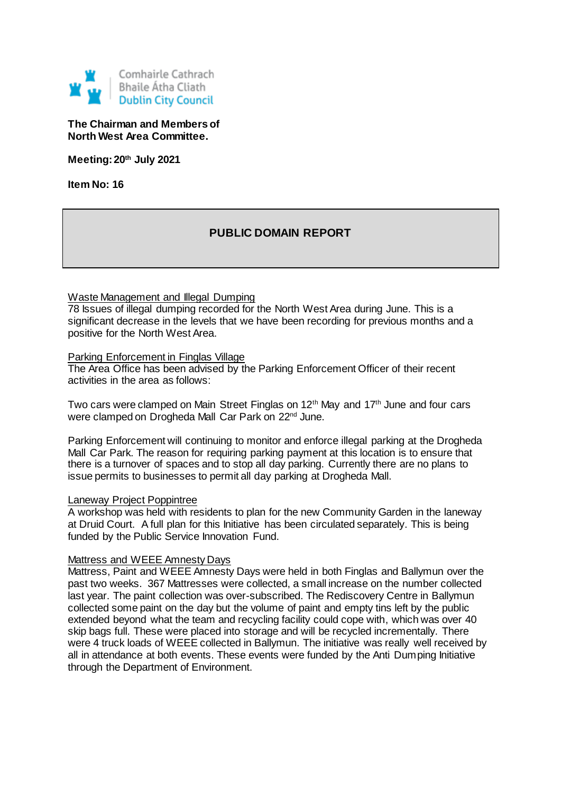

# **The Chairman and Members of North West Area Committee.**

**Meeting: 20th July 2021**

**Item No: 16**

# **PUBLIC DOMAIN REPORT**

## Waste Management and Illegal Dumping

78 Issues of illegal dumping recorded for the North West Area during June. This is a significant decrease in the levels that we have been recording for previous months and a positive for the North West Area.

#### Parking Enforcement in Finglas Village

The Area Office has been advised by the Parking Enforcement Officer of their recent activities in the area as follows:

Two cars were clamped on Main Street Finglas on 12<sup>th</sup> May and 17<sup>th</sup> June and four cars were clamped on Drogheda Mall Car Park on 22nd June.

Parking Enforcement will continuing to monitor and enforce illegal parking at the Drogheda Mall Car Park. The reason for requiring parking payment at this location is to ensure that there is a turnover of spaces and to stop all day parking. Currently there are no plans to issue permits to businesses to permit all day parking at Drogheda Mall.

#### Laneway Project Poppintree

A workshop was held with residents to plan for the new Community Garden in the laneway at Druid Court. A full plan for this Initiative has been circulated separately. This is being funded by the Public Service Innovation Fund.

#### Mattress and WEEE Amnesty Days

Mattress, Paint and WEEE Amnesty Days were held in both Finglas and Ballymun over the past two weeks. 367 Mattresses were collected, a small increase on the number collected last year. The paint collection was over-subscribed. The Rediscovery Centre in Ballymun collected some paint on the day but the volume of paint and empty tins left by the public extended beyond what the team and recycling facility could cope with, which was over 40 skip bags full. These were placed into storage and will be recycled incrementally. There were 4 truck loads of WEEE collected in Ballymun. The initiative was really well received by all in attendance at both events. These events were funded by the Anti Dumping Initiative through the Department of Environment.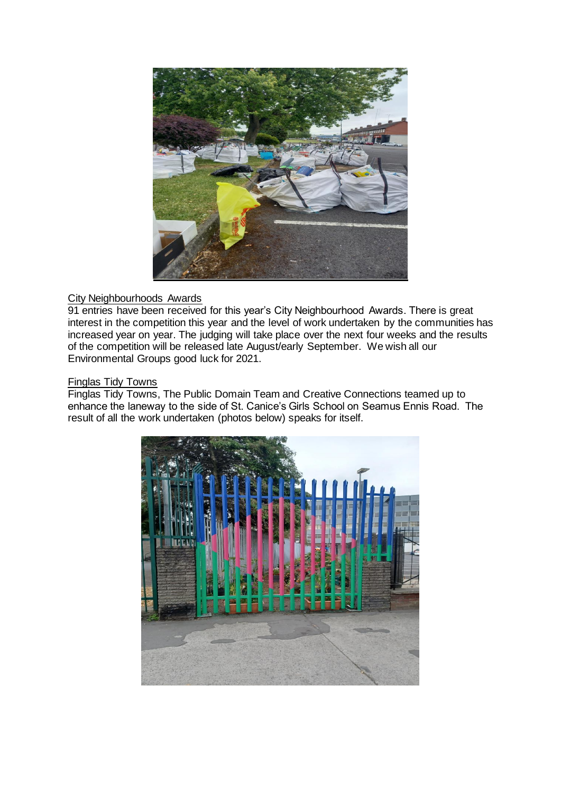

# City Neighbourhoods Awards

91 entries have been received for this year's City Neighbourhood Awards. There is great interest in the competition this year and the level of work undertaken by the communities has increased year on year. The judging will take place over the next four weeks and the results of the competition will be released late August/early September. We wish all our Environmental Groups good luck for 2021.

## Finglas Tidy Towns

Finglas Tidy Towns, The Public Domain Team and Creative Connections teamed up to enhance the laneway to the side of St. Canice's Girls School on Seamus Ennis Road. The result of all the work undertaken (photos below) speaks for itself.